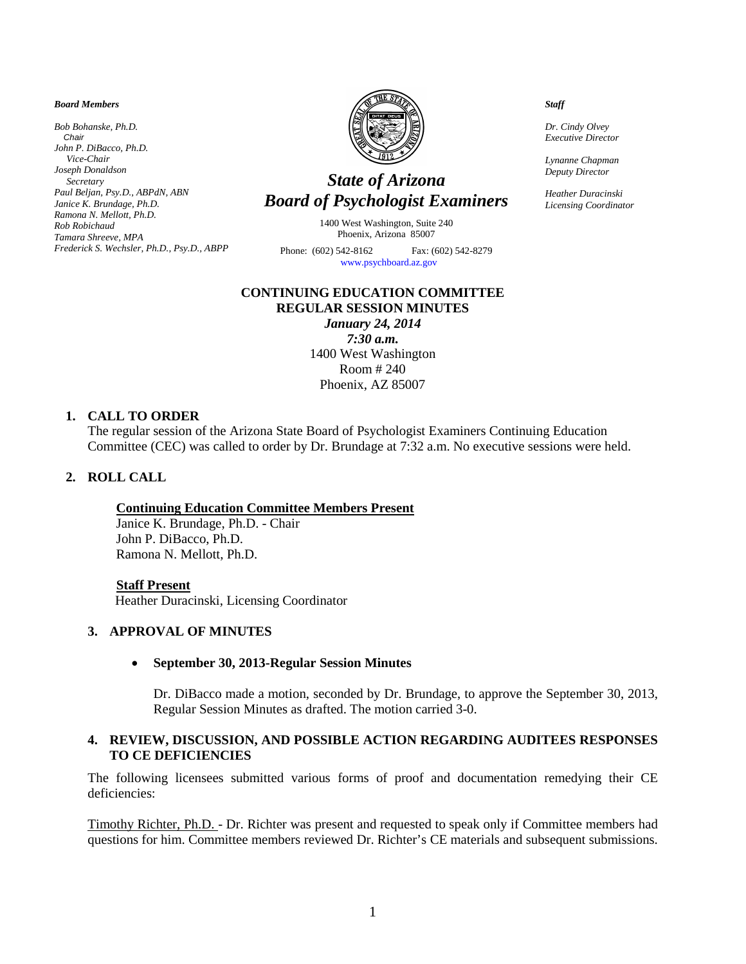#### *Board Members*

*Bob Bohanske, Ph.D. Chair John P. DiBacco, Ph.D. Vice-Chair Joseph Donaldson Secretary Paul Beljan, Psy.D., ABPdN, ABN Janice K. Brundage, Ph.D. Ramona N. Mellott, Ph.D. Rob Robichaud Tamara Shreeve, MPA Frederick S. Wechsler, Ph.D., Psy.D., ABPP*



# *State of Arizona Board of Psychologist Examiners*

1400 West Washington, Suite 240 Phoenix, Arizona 85007

Phone: (602) 542-8162 Fax: (602) 542-8279 [www.psychboard.az.gov](http://www.psychboard.az.gov/) 

#### **CONTINUING EDUCATION COMMITTEE REGULAR SESSION MINUTES**

*January 24, 2014 7:30 a.m.* 1400 West Washington Room # 240 Phoenix, AZ 85007

#### **1. CALL TO ORDER**

The regular session of the Arizona State Board of Psychologist Examiners Continuing Education Committee (CEC) was called to order by Dr. Brundage at 7:32 a.m. No executive sessions were held.

## **2. ROLL CALL**

# **Continuing Education Committee Members Present**

Janice K. Brundage, Ph.D. - Chair John P. DiBacco, Ph.D. Ramona N. Mellott, Ph.D.

#### **Staff Present**

Heather Duracinski, Licensing Coordinator

# **3. APPROVAL OF MINUTES**

#### • **September 30, 2013-Regular Session Minutes**

Dr. DiBacco made a motion, seconded by Dr. Brundage, to approve the September 30, 2013, Regular Session Minutes as drafted. The motion carried 3-0.

### **4. REVIEW, DISCUSSION, AND POSSIBLE ACTION REGARDING AUDITEES RESPONSES TO CE DEFICIENCIES**

The following licensees submitted various forms of proof and documentation remedying their CE deficiencies:

Timothy Richter, Ph.D. - Dr. Richter was present and requested to speak only if Committee members had questions for him. Committee members reviewed Dr. Richter's CE materials and subsequent submissions.

 *Staff*

 *Dr. Cindy Olvey Executive Director*

 *Lynanne Chapman Deputy Director*

 *Heather Duracinski Licensing Coordinator*